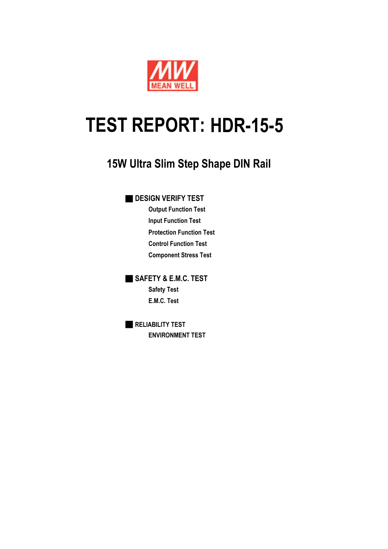

# **TEST REPORT: HDR-15-5**

## **15W Ultra Slim Step Shape DIN Rail**

### **DESIGN VERIFY TEST**

**Output Function Test Input Function Test Protection Function Test Control Function Test Component Stress Test**

■ **SAFETY & E.M.C. TEST Safety Test E.M.C. Test**

■ **RELIABILITY TEST ENVIRONMENT TEST**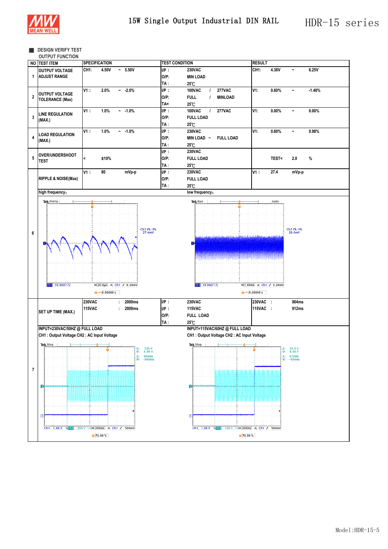

#### ■ **DESIGN VERIFY TEST**

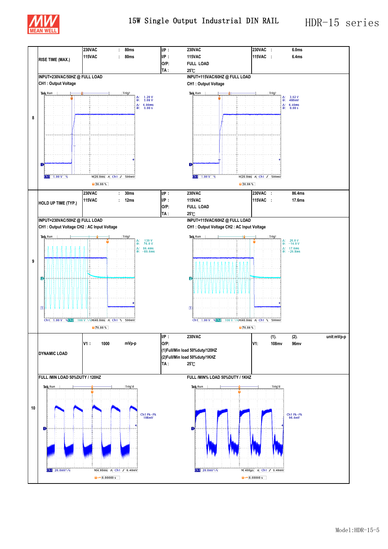

15W Single Output Industrial DIN RAIL HDR-15 series

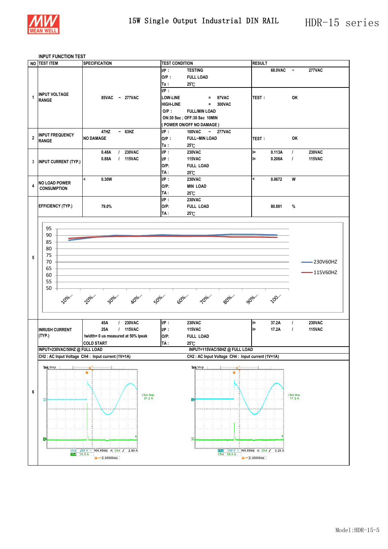

#### **INPUT FUNCTION TEST**

|                | NO TEST ITEM                  | <b>SPECIFICATION</b>                                   | <b>TEST CONDITION</b> |                                                  | <b>RESULT</b>                             |         |                             |               |  |
|----------------|-------------------------------|--------------------------------------------------------|-----------------------|--------------------------------------------------|-------------------------------------------|---------|-----------------------------|---------------|--|
|                |                               |                                                        | IP:                   | <b>TESTING</b>                                   |                                           | 68.0VAC | $\tilde{\phantom{a}}$       | <b>277VAC</b> |  |
|                |                               |                                                        | $O/P$ :               | <b>FULL LOAD</b>                                 |                                           |         |                             |               |  |
|                |                               |                                                        |                       |                                                  |                                           |         |                             |               |  |
|                |                               |                                                        | Ta:                   | $25^\circ$ C                                     |                                           |         |                             |               |  |
| 1              | <b>INPUT VOLTAGE</b>          |                                                        | UP:                   |                                                  |                                           |         |                             |               |  |
|                | <b>RANGE</b>                  | 85VAC ~ 277VAC                                         | <b>LOW-LINE</b>       | 97VAC<br>$\equiv$                                | TEST:                                     |         | OK                          |               |  |
|                |                               |                                                        | <b>HIGH-LINE</b>      | 300VAC<br>$\equiv$                               |                                           |         |                             |               |  |
|                |                               |                                                        | $O/P$ :               | <b>FULL/MIN LOAD</b>                             |                                           |         |                             |               |  |
|                |                               |                                                        |                       | ON:30 Sec ; OFF:30 Sec 10MIN                     |                                           |         |                             |               |  |
|                |                               |                                                        |                       | (POWER ON/OFF NO DAMAGE)                         |                                           |         |                             |               |  |
|                |                               | 47HZ<br>$~-$ 63HZ                                      | IP:                   | 100VAC<br>$\sim 277$ VAC                         |                                           |         |                             |               |  |
| $\overline{2}$ | <b>INPUT FREQUENCY</b>        | <b>NO DAMAGE</b>                                       |                       |                                                  |                                           |         | OK                          |               |  |
|                | <b>RANGE</b>                  |                                                        | $O/P$ :               | <b>FULL~MIN LOAD</b>                             | TEST:                                     |         |                             |               |  |
|                |                               |                                                        | Ta:                   | $25^\circ$ C                                     |                                           |         |                             |               |  |
|                |                               | <b>230VAC</b><br>0.48A<br>$\prime$                     | IP:                   | <b>230VAC</b>                                    | l=                                        | 0.113A  | $\prime$                    | 230VAC        |  |
| $\mathbf{3}$   | <b>INPUT CURRENT (TYP.)</b>   | 0.88A<br>/ 115VAC                                      | $I/P$ :               | <b>115VAC</b>                                    | l=                                        | 0.208A  | $\prime$                    | <b>115VAC</b> |  |
|                |                               |                                                        | $O/P$ :               | <b>FULL LOAD</b>                                 |                                           |         |                             |               |  |
|                |                               |                                                        | TA:                   | 25°C                                             |                                           |         |                             |               |  |
|                |                               | $\overline{\phantom{a}}$<br>0.30W                      | IP:                   | <b>230VAC</b>                                    | $\overline{\phantom{a}}$                  | 0.0672  | W                           |               |  |
| 4              | <b>NO LOAD POWER</b>          |                                                        | $O/P$ :               | <b>MIN LOAD</b>                                  |                                           |         |                             |               |  |
|                | <b>CONSUMPTION</b>            |                                                        | TA:                   |                                                  |                                           |         |                             |               |  |
|                |                               |                                                        |                       | 25°C                                             |                                           |         |                             |               |  |
|                |                               |                                                        | IP:                   | <b>230VAC</b>                                    |                                           |         | %                           |               |  |
|                | <b>EFFICIENCY (TYP.)</b>      | 79.0%                                                  | $O/P$ :               | <b>FULL LOAD</b>                                 |                                           | 80.881  |                             |               |  |
|                |                               |                                                        | TA :                  | $25^\circ$ C                                     |                                           |         |                             |               |  |
|                |                               |                                                        |                       |                                                  |                                           |         |                             |               |  |
|                | 95                            |                                                        |                       |                                                  |                                           |         |                             |               |  |
|                | 90                            |                                                        |                       |                                                  |                                           |         |                             |               |  |
|                |                               |                                                        |                       |                                                  |                                           |         |                             |               |  |
|                | 85                            |                                                        |                       |                                                  |                                           |         |                             |               |  |
|                | 80                            |                                                        |                       |                                                  |                                           |         |                             |               |  |
| 5              | 75                            |                                                        |                       |                                                  |                                           |         |                             |               |  |
|                | 70                            |                                                        |                       |                                                  |                                           |         |                             | -230V60HZ     |  |
|                | 65                            |                                                        |                       |                                                  |                                           |         |                             |               |  |
|                | 60                            |                                                        |                       |                                                  |                                           |         |                             | $-115V60HZ$   |  |
|                | 55                            |                                                        |                       |                                                  |                                           |         |                             |               |  |
|                | 50                            |                                                        |                       |                                                  |                                           |         |                             |               |  |
|                |                               |                                                        |                       |                                                  |                                           |         |                             |               |  |
|                | <b>10%</b>                    | <b>AD</b> <sup>010.11</sup><br>20% in<br>30%<br>Solo." | 60000                 | 80% -<br><b>10%</b>                              | <b>90%.</b>                               | 100.0   |                             |               |  |
|                |                               |                                                        |                       |                                                  |                                           |         |                             |               |  |
|                |                               |                                                        |                       |                                                  |                                           |         |                             |               |  |
|                |                               |                                                        |                       |                                                  |                                           |         |                             |               |  |
|                |                               | <b>230VAC</b><br>45A<br>$\mathcal{L}$                  | IP:                   | <b>230VAC</b>                                    | l=                                        | 37.2A   | $\prime$                    | <b>230VAC</b> |  |
|                | <b>INRUSH CURRENT</b>         | 25A<br>/ 115VAC                                        | IP:                   | <b>115VAC</b>                                    | l=                                        | 17.2A   | $\prime$                    | <b>115VAC</b> |  |
|                | (TYP.)                        | twidth= 0 us measured at 50% lpeak                     | $O/P$ :               | <b>FULL LOAD</b>                                 |                                           |         |                             |               |  |
|                |                               | <b>COLD START</b>                                      | TA :                  | 25°C                                             |                                           |         |                             |               |  |
|                | INPUT=230VAC/50HZ @ FULL LOAD |                                                        |                       | INPUT=115VAC/50HZ @ FULL LOAD                    |                                           |         |                             |               |  |
|                |                               | CH2 : AC Input Voltage CH4 : Input current (1V=1A)     |                       | CH2: AC Input Voltage CH4: Input current (1V=1A) |                                           |         |                             |               |  |
|                |                               |                                                        |                       |                                                  |                                           |         |                             |               |  |
|                | Tek Stop                      |                                                        |                       | Tek Stop                                         |                                           |         |                             |               |  |
|                |                               |                                                        |                       |                                                  |                                           |         |                             |               |  |
|                |                               |                                                        |                       |                                                  |                                           |         |                             |               |  |
|                |                               |                                                        |                       |                                                  |                                           |         |                             |               |  |
| 6              |                               |                                                        |                       |                                                  |                                           |         |                             |               |  |
|                | $\sqrt{2}$                    | Ch4 Max<br>37.2 A                                      |                       | $\overline{2}$                                   |                                           |         | Ch4 Max<br>$17.2 \text{ A}$ |               |  |
|                |                               |                                                        |                       |                                                  |                                           |         |                             |               |  |
|                |                               |                                                        |                       |                                                  |                                           |         |                             |               |  |
|                |                               |                                                        |                       |                                                  |                                           |         |                             |               |  |
|                |                               |                                                        |                       |                                                  |                                           |         |                             |               |  |
|                |                               |                                                        |                       |                                                  |                                           |         |                             |               |  |
|                |                               |                                                        |                       |                                                  |                                           |         |                             |               |  |
|                | E)                            |                                                        |                       | $\sqrt{4}$                                       |                                           |         |                             |               |  |
|                |                               |                                                        |                       |                                                  | 100 V V M4.00ms A Ch4 J 3.20 A            |         |                             |               |  |
|                | Ch $-10.0$ A                  | Ch2 200 V $\sqrt{M4.00}$ ms A Ch4 $J$ 2.80 A           |                       | Ch2<br>Ch4 10.0 A                                |                                           |         |                             |               |  |
|                |                               | $\frac{1}{2}$ + 2.40000ms                              |                       |                                                  | $\overline{u}$ + $\overline{v}$ 2.40000ms |         |                             |               |  |
|                |                               |                                                        |                       |                                                  |                                           |         |                             |               |  |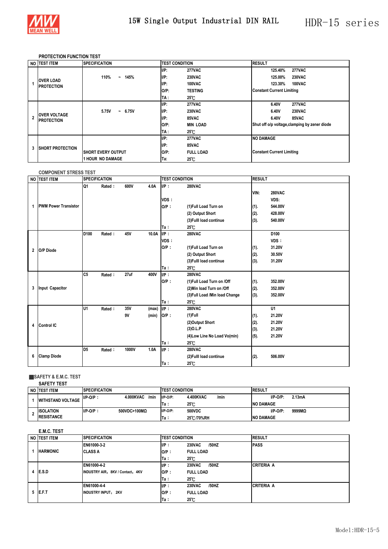

#### **PROTECTION FUNCTION TEST**

|   | NO TEST ITEM                             | <b>SPECIFICATION</b>                    | <b>TEST CONDITION</b> |                  | <b>RESULT</b>                                 |
|---|------------------------------------------|-----------------------------------------|-----------------------|------------------|-----------------------------------------------|
|   |                                          |                                         | $I/P$ :               | <b>277VAC</b>    | <b>277VAC</b><br>125.40%                      |
|   |                                          | 110%<br>145%<br>$\tilde{\phantom{a}}$   | IIP:                  | <b>230VAC</b>    | <b>230VAC</b><br>125.00%                      |
|   | <b>OVER LOAD</b><br><b>PROTECTION</b>    |                                         | IIP:                  | <b>100VAC</b>    | <b>100VAC</b><br>123.30%                      |
|   |                                          |                                         | O/P:                  | <b>TESTING</b>   | <b>Constant Current Limiting</b>              |
|   |                                          |                                         | TA :                  | $25^\circ$ C     |                                               |
|   | <b>OVER VOLTAGE</b><br><b>PROTECTION</b> |                                         | IIP:                  | <b>277VAC</b>    | <b>277VAC</b><br>6.40V                        |
|   |                                          | 5.75V<br>6.75V<br>$\tilde{\phantom{a}}$ | IIP:                  | <b>230VAC</b>    | <b>230VAC</b><br>6.40V                        |
|   |                                          |                                         | $I/P$ :               | 85VAC            | 6.40V<br>85VAC                                |
|   |                                          |                                         | $O/P$ :               | <b>MIN LOAD</b>  | Shut off o/p voltage, clamping by zener diode |
|   |                                          |                                         | TA :                  | 25°C             |                                               |
|   | <b>ISHORT PROTECTION</b>                 |                                         | $I/P$ :               | <b>277VAC</b>    | <b>NO DAMAGE</b>                              |
| 3 |                                          |                                         | IIP:                  | 85VAC            |                                               |
|   |                                          | <b>SHORT EVERY OUTPUT</b>               | $O/P$ :               | <b>FULL LOAD</b> | <b>Constant Current Limiting</b>              |
|   |                                          | <b>1 HOUR NO DAMAGE</b>                 | Ta:                   | $25^{\circ}$ C   |                                               |

|   | <b>COMPONENT STRESS TEST</b> |                  |                      |           |                |                                                                                                                     |                                                                                                                             |                              |                                                        |  |
|---|------------------------------|------------------|----------------------|-----------|----------------|---------------------------------------------------------------------------------------------------------------------|-----------------------------------------------------------------------------------------------------------------------------|------------------------------|--------------------------------------------------------|--|
|   | NO TEST ITEM                 |                  | <b>SPECIFICATION</b> |           |                | <b>TEST CONDITION</b>                                                                                               |                                                                                                                             | <b>RESULT</b>                |                                                        |  |
| 1 | <b>PWM Power Transistor</b>  | Q1               | Rated:               | 600V      | 4.0A           | $IIP$ :<br><b>280VAC</b><br>VDS:<br>$O/P$ :<br>(1) Full Load Turn on<br>(2) Output Short<br>(3) Fulll load continue |                                                                                                                             | VIN:<br>(1).<br>(2).<br>(3). | <b>280VAC</b><br>VDS:<br>544.00V<br>428.00V<br>540.00V |  |
|   |                              |                  |                      |           |                | Ta:                                                                                                                 | $25^{\circ}$ C                                                                                                              |                              |                                                        |  |
| 2 | O/P Diode                    | D <sub>100</sub> | Rated:               | 45V       | 10.0A          | $IIP$ :<br>VDS:<br>$O/P$ :<br>Ta:                                                                                   | <b>280VAC</b><br>(1) Full Load Turn on<br>(2) Output Short<br>(3) Fulll load continue<br>$25^\circ$ C                       | (1).<br>(2).<br>(3).         | D <sub>100</sub><br>VDS:<br>31.20V<br>30.50V<br>31.20V |  |
| 3 | <b>Input Capacitor</b>       | C <sub>5</sub>   | Rated:               | 27uf      | 400V           | $I/P$ :<br>$O/P$ :<br>Ta:                                                                                           | <b>280VAC</b><br>(1) Full Load Turn on /Off<br>(2) Min load Turn on /Off<br>(3) Full Load / Min load Change<br>$25^\circ$ C | (1).<br>(2).<br>(3).         | 352.00V<br>352.00V<br>352.00V                          |  |
| 4 | <b>Control IC</b>            | <b>U1</b>        | Rated:               | 35V<br>9V | (max)<br>(min) | $I/P$ :<br>IO/P:<br>Ta:                                                                                             | <b>280VAC</b><br>$(1)$ Full<br>(2)Output Short<br>$(3)$ O.L.P<br>(4) Low Line No Load Vo(min)<br>$25^\circ$ C               | (1).<br>(2).<br>(3).<br>(5). | U1<br>21.20V<br>21.20V<br>21.20V<br>21.20V             |  |
| 6 | <b>Clamp Diode</b>           | D <sub>5</sub>   | Rated:               | 1000V     | 1.0A           | UP:<br>Ta:                                                                                                          | <b>280VAC</b><br>(2) Fulll load continue<br>$25^{\circ}$ C                                                                  | (2).                         | 506.00V                                                |  |

#### ■**SAFETY & E.M.C. TEST**

|  | <b>SAFETY TEST</b>       |                      |                   |                       |                |      |                  |        |  |  |  |  |  |  |
|--|--------------------------|----------------------|-------------------|-----------------------|----------------|------|------------------|--------|--|--|--|--|--|--|
|  | NO ITEST ITEM            | <b>SPECIFICATION</b> |                   | <b>TEST CONDITION</b> |                |      | <b>RESULT</b>    |        |  |  |  |  |  |  |
|  | <b>WITHSTAND VOLTAGE</b> | $I/P-O/P$ :          | 4.000KVAC<br>/min | $I/P-O/P$ :           | 4.400KVAC      | /min | $I/P$ -O/P:      | 2.13mA |  |  |  |  |  |  |
|  |                          |                      |                   | Ta:                   | $25^{\circ}$ C |      | <b>NO DAMAGE</b> |        |  |  |  |  |  |  |
|  | <b>ISOLATION</b>         | $I/P-O/P$ :          | 500VDC>100MQ      | $I/P-O/P$ :           | 500VDC         |      | $I/P-O/P$ :      | 9999MQ |  |  |  |  |  |  |
|  | <b>IRESISTANCE</b>       |                      |                   | Ta:                   | 25°C/70%RH     |      | <b>NO DAMAGE</b> |        |  |  |  |  |  |  |

#### **E.M.C. TEST**

| NO ITEST ITEM   | <b>SPECIFICATION</b>             | <b>TEST CONDITION</b> |                        | <b>RESULT</b>     |
|-----------------|----------------------------------|-----------------------|------------------------|-------------------|
|                 | EN61000-3-2                      | IP:                   | <b>230VAC</b><br>/50HZ | <b>IPASS</b>      |
| <b>HARMONIC</b> | <b>CLASS A</b>                   | $O/P$ :               | <b>FULL LOAD</b>       |                   |
|                 |                                  | Ta :                  | $25^\circ$ C           |                   |
| $4$ IE.S.D      | EN61000-4-2                      | IP:                   | <b>230VAC</b><br>/50HZ | <b>CRITERIA A</b> |
|                 | INDUSTRY AIR: 8KV / Contact: 4KV | $O/P$ :               | <b>FULL LOAD</b>       |                   |
|                 |                                  | Ta:                   | $25^{\circ}$ C         |                   |
| 5 <b>IE.F.T</b> | EN61000-4-4                      | IP:                   | <b>230VAC</b><br>/50HZ | <b>CRITERIA A</b> |
|                 | <b>INDUSTRY INPUT: 2KV</b>       | $O/P$ :               | <b>FULL LOAD</b>       |                   |
|                 |                                  | Ta :                  | $25^{\circ}$ C         |                   |